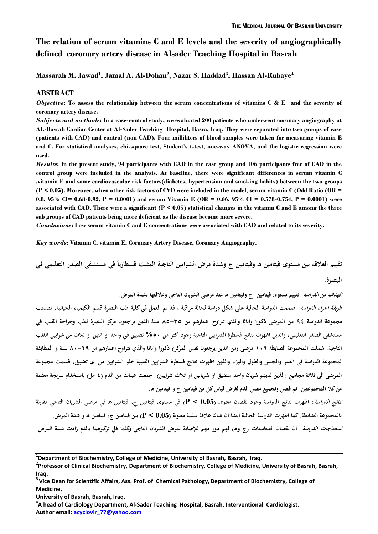# **The relation of serum vitamins C and E levels and the severity of angiographically defined coronary artery disease in Alsader Teaching Hospital in Basrah**

**Massarah M. Jawad<sup>1</sup> , Jamal A. Al-Dohan<sup>2</sup> , Nazar S. Haddad<sup>3</sup> , Hassan Al-Rubaye<sup>4</sup>**

#### **ABSTRACT**

*Objective***: To assess the relationship between the serum concentrations of vitamins C & E and the severity of coronary artery disease.**

*Subjects and methods***: In a case-control study, we evaluated 200 patients who underwent coronary angiography at AL-Basrah Cardiac Center at Al-Sader Teaching Hospital, Basra, Iraq. They were separated into two groups of case (patients with CAD) and control (non CAD). Four milliliters of blood samples were taken for measuring vitamin E and C. For statistical analyses, chi-square test, Student's t-test, one-way ANOVA, and the logistic regression were used.**

*Result***s: In the present study, 94 participants with CAD in the case group and 106 participants free of CAD in the control group were included in the analysis. At baseline, there were significant differences in serum vitamin C ,vitamin E and some cardiovascular risk factors(diabetes, hypertension and smoking habits) between the two groups (P < 0.05). Moreover, when other risk factors of CVD were included in the model, serum vitamin C (Odd Ratio (OR = 0.8, 95% CI= 0.68-0.92, P = 0.0001) and serum Vitamin E (OR = 0.66, 95% CI = 0.578-0.754, P = 0.0001) were associated with CAD. There were a significant (P < 0.05) statistical changes in the vitamin C and E among the three sub groups of CAD patients being more deficient as the disease become more severe.** 

*Conclusions***: Low serum vitamin C and E concentrations were associated with CAD and related to its severity.**

*Key words***: Vitamin C, vitamin E, Coronary Artery Disease, Coronary Angiography.**

**ً تقييم العالقة بين مستوى فيتامين هـ وفيتامين ج وشدة مرض الشر ايين التاجية المثبت قسطاريا في مستشفى الصدر التعليمي في البصرة.**

**الهدف من الدراسة: تقييم مستوى فيتامين ج وفيتامين هـ عند مرضى الشريان التاجي وعالقتها بشدة المرض.**

**طريقة اجراء الدراسة: صممت الدراسة الحالية على شكل دراسة لحالة مراقبة , قد تم العمل في كلية طب البصرة قسم الكيمياء الحياتية. تضمنت مجموعة الدراسة 49 من المرضى ذكورا واناثا والذي تتراوح اعمارهم من 53-53 سنة الذين يراجعون مركز البصرة لطب وجراحة القلب في مستشفى الصدر التعليمي, والذين اظهرت نتائج قسطرة الشرايين التاجية وجود اكثر من %35 تضييق في واحد او اثنين او ثالث من شرايين القلب التاجية. شملت المجموعة الضابطة 651 مرضى )من الذين يرجعون نفس المركز( ذكورا واناثا والذي تتراوح اعمارهم من 55-94 سنة و المطابقة لمجموعة الدراسة في العمر والجنس والطول والوزن والذين اظهرت نتائج قسطرة الشرايين القلبية خلو الشرايين من اي تضييق. قسمت مجموعة المرضى الى ثالثة مجاميع )الذين لديهم شريان واحد متضيق او شريانين او ثالث شرايين(. جمعت عينات من الدم )9 مل( باستخدام سرنجة معقمة من كال المجموعتين. تم فصل وتجميع مصل الدم لغرض قياس كل من فيتامين ج و فيتامين هـ. نتائج الدراسة: اظهرت نتائج الدراسة وجود نقصان معنوي )0.05 > P )في مستوى فيتامين ج, فيتامين هـ في مرضى الشريان التاجي مقارنة** 

**بالمجموعة الضابطة. كما اظهرت الدراسة الحالية ايضا ان هناك عالقة سلبية معنوية )0.05 > P )بين فيتامين ج, فيتامين هـ و شدة المرض.** ا*ستنتاجات الدراسة*: ان نقصان الفيتامينات (ج وهـ) لهم دور مهم للإصابة بمرض الشريان التاجي وكلما قل تركيزهما بالدم زادت شدة المرض.

**<sup>1</sup> Department of Biochemistry, College of Medicine, University of Basrah, Basrah, Iraq.**

**<sup>2</sup> Professor of Clinical Biochemistry, Department of Biochemistry, College of Medicine, University of Basrah, Basrah, Iraq.**

<sup>&</sup>lt;sup>3</sup> Vice Dean for Scientific Affairs, Ass. Prof. of Chemical Pathology, Department of Biochemistry, College of **Medicine,** 

**University of Basrah, Basrah, Iraq.**

**<sup>4</sup> A head of Cardiology Department, Al-Sader Teaching Hospital, Basrah, Interventional Cardiologist. Author email: acyclovir\_77@yahoo.com**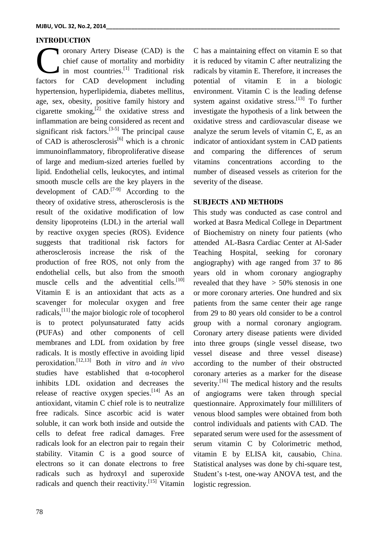### **INTRODUCTION**

oronary Artery Disease (CAD) is the chief cause of mortality and morbidity in most countries.<sup>[1]</sup> Traditional risk ordary Artery Disease (CAD) is the<br>chief cause of mortality and morbidity<br>in most countries.<sup>[1]</sup> Traditional risk<br>factors for CAD development including hypertension, hyperlipidemia, diabetes mellitus, age, sex, obesity, positive family history and cigarette smoking, $^{[2]}$  the oxidative stress and inflammation are being considered as recent and significant risk factors.<sup>[3-5]</sup> The principal cause of CAD is atherosclerosis<sup>[6]</sup> which is a chronic immunoinflammatory, fibroproliferative disease of large and medium-sized arteries fuelled by lipid. Endothelial cells, leukocytes, and intimal smooth muscle cells are the key players in the development of CAD.<sup>[7-9]</sup> According to the theory of oxidative stress, atherosclerosis is the result of the oxidative modification of low density lipoproteins (LDL) in the arterial wall by reactive oxygen species (ROS). Evidence suggests that traditional risk factors for atherosclerosis increase the risk of the production of free ROS, not only from the endothelial cells, but also from the smooth muscle cells and the adventitial cells.<sup>[10]</sup> Vitamin E is an antioxidant that acts as a scavenger for molecular oxygen and free radicals,<sup>[11]</sup> the major biologic role of tocopherol is to protect polyunsaturated fatty acids (PUFAs) and other components of cell membranes and LDL from oxidation by free radicals. It is mostly effective in avoiding lipid peroxidation. [12,13] Both *in vitro* and *in vivo*  studies have established that α-tocopherol inhibits LDL oxidation and decreases the release of reactive oxygen species.<sup>[14]</sup> As an antioxidant, vitamin C chief role is to neutralize free radicals. Since ascorbic acid is water soluble, it can work both inside and outside the cells to defeat free radical damages. Free radicals look for an electron pair to regain their stability. Vitamin C is a good source of electrons so it can donate electrons to free radicals such as hydroxyl and superoxide radicals and quench their reactivity.<sup>[15]</sup> Vitamin

C has a maintaining effect on vitamin E so that it is reduced by vitamin C after neutralizing the radicals by vitamin E. Therefore, it increases the potential of vitamin E in a biologic environment. Vitamin C is the leading defense system against oxidative stress.<sup>[13]</sup> To further investigate the hypothesis of a link between the oxidative stress and cardiovascular disease we analyze the serum levels of vitamin C, E, as an indicator of antioxidant system in CAD patients and comparing the differences of serum vitamins concentrations according to the number of diseased vessels as criterion for the severity of the disease.

#### **SUBJECTS AND METHODS**

This study was conducted as case control and worked at Basra Medical College in Department of Biochemistry on ninety four patients (who attended AL-Basra Cardiac Center at Al-Sader Teaching Hospital, seeking for coronary angiography) with age ranged from 37 to 86 years old in whom coronary angiography revealed that they have  $> 50\%$  stenosis in one or more coronary arteries. One hundred and six patients from the same center their age range from 29 to 80 years old consider to be a control group with a normal coronary angiogram. Coronary artery disease patients were divided into three groups (single vessel disease, two vessel disease and three vessel disease) according to the number of their obstructed coronary arteries as a marker for the disease severity.<sup>[16]</sup> The medical history and the results of angiograms were taken through special questionnaire. Approximately four milliliters of venous blood samples were obtained from both control individuals and patients with CAD. The separated serum were used for the assessment of serum vitamin C by Colorimetric method, vitamin E by ELISA kit, causabio, China. Statistical analyses was done by chi-square test, Student's t-test, one-way ANOVA test, and the logistic regression.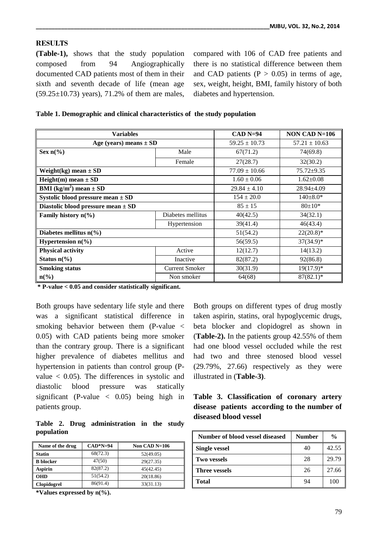# **RESULTS**

**(Table-1),** shows that the study population composed from 94 Angiographically documented CAD patients most of them in their sixth and seventh decade of life (mean age  $(59.25 \pm 10.73)$  years), 71.2% of them are males,

compared with 106 of CAD free patients and there is no statistical difference between them and CAD patients  $(P > 0.05)$  in terms of age, sex, weight, height, BMI, family history of both diabetes and hypertension.

| Table 1. Demographic and clinical characteristics of the study population |  |
|---------------------------------------------------------------------------|--|
|---------------------------------------------------------------------------|--|

| <b>Variables</b>                              | $CAD$ N=94            | NON CAD $N=106$   |                   |
|-----------------------------------------------|-----------------------|-------------------|-------------------|
| Age (years) means $\pm$ SD                    |                       | $59.25 \pm 10.73$ | $57.21 \pm 10.63$ |
| Sex $n\frac{6}{6}$                            | Male                  | 67(71.2)          | 74(69.8)          |
|                                               | Female                | 27(28.7)          | 32(30.2)          |
| Weight(kg) mean $\pm$ SD                      |                       | $77.09 \pm 10.66$ | $75.72 \pm 9.35$  |
| Height(m) mean $\pm$ SD                       |                       | $1.60 \pm 0.06$   | $1.62 \pm 0.08$   |
| <b>BMI</b> (kg/m <sup>2</sup> ) mean $\pm$ SD |                       | $29.84 \pm 4.10$  | $28.94 \pm 4.09$  |
| Systolic blood pressure mean $\pm$ SD         | $154 \pm 20.0$        | $140 \pm 8.0*$    |                   |
| Diastolic blood pressure mean $\pm$ SD        |                       | $85 \pm 15$       | $80 \pm 10*$      |
| Family history $n\frac{6}{6}$                 | Diabetes mellitus     | 40(42.5)          | 34(32.1)          |
|                                               | Hypertension          | 39(41.4)          | 46(43.4)          |
| Diabetes mellitus $n\frac{6}{6}$              |                       | 51(54.2)          | $22(20.8)^*$      |
| Hypertension $n\frac{6}{6}$                   |                       | 56(59.5)          | $37(34.9)$ *      |
| <b>Physical activity</b>                      | Active                | 12(12.7)          | 14(13.2)          |
| Status $n\frac{6}{6}$                         | Inactive              | 82(87.2)          | 92(86.8)          |
| <b>Smoking status</b>                         | <b>Current Smoker</b> | 30(31.9)          | $19(17.9)^*$      |
| $n\left(\frac{6}{6}\right)$                   | Non smoker            | 64(68)            | $87(82.1)^*$      |

**\* P-value < 0.05 and consider statistically significant.**

Both groups have sedentary life style and there was a significant statistical difference in smoking behavior between them (P-value < 0.05) with CAD patients being more smoker than the contrary group. There is a significant higher prevalence of diabetes mellitus and hypertension in patients than control group (Pvalue < 0.05). The differences in systolic and diastolic blood pressure was statically significant (P-value  $\langle 0.05 \rangle$  being high in patients group.

**Table 2. Drug administration in the study population**

| Name of the drug   | $CAD*N=94$ | Non CAD N=106 |
|--------------------|------------|---------------|
| <b>Statin</b>      | 68(72.3)   | 52(49.05)     |
| <b>B</b> blocker   | 47(50)     | 29(27.35)     |
| <b>Aspirin</b>     | 82(87.2)   | 45(42.45)     |
| <b>OHD</b>         | 51(54.2)   | 20(18.86)     |
| <b>Clopidogrel</b> | 86(91.4)   | 33(31.13)     |

**\*Values expressed by n(%).**

Both groups on different types of drug mostly taken aspirin, statins, oral hypoglycemic drugs, beta blocker and clopidogrel as shown in (**Table-2).** In the patients group 42.55% of them had one blood vessel occluded while the rest had two and three stenosed blood vessel (29.79%, 27.66) respectively as they were illustrated in (**Table-3)**.

|  |                       |  | Table 3. Classification of coronary artery  |  |
|--|-----------------------|--|---------------------------------------------|--|
|  |                       |  | disease patients according to the number of |  |
|  | diseased blood vessel |  |                                             |  |

| Number of blood vessel diseased | <b>Number</b> | $\frac{0}{0}$ |
|---------------------------------|---------------|---------------|
| <b>Single vessel</b>            | 40            | 42.55         |
| <b>Two vessels</b>              | 28            | 29.79         |
| <b>Three vessels</b>            | 26            | 27.66         |
| <b>Total</b>                    | 94            | 100           |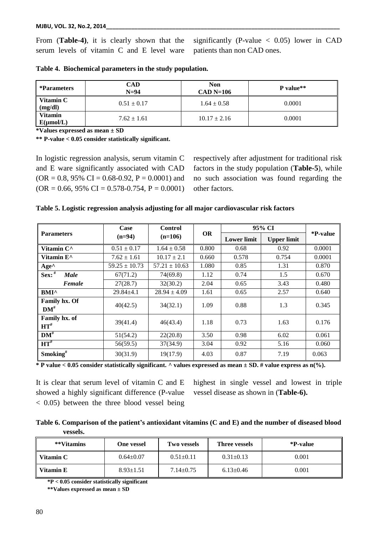From (**Table-4)**, it is clearly shown that the serum levels of vitamin C and E level ware significantly (P-value  $\langle 0.05 \rangle$  lower in CAD patients than non CAD ones.

| *Parameters                      | CAD<br>$N=94$   | Non<br>$CAD$ N=106 | P value** |  |
|----------------------------------|-----------------|--------------------|-----------|--|
| Vitamin C<br>(mg/dl)             | $0.51 \pm 0.17$ | $1.64 \pm 0.58$    | 0.0001    |  |
| <b>Vitamin</b><br>$E(\mu mol/L)$ | $7.62 \pm 1.61$ | $10.17 \pm 2.16$   | 0.0001    |  |

**Table 4. Biochemical parameters in the study population.**

**\*Values expressed as mean ± SD**

**\*\* P-value < 0.05 consider statistically significant.**

In logistic regression analysis, serum vitamin C and E ware significantly associated with CAD  $(OR = 0.8, 95\% \text{ CI} = 0.68 - 0.92, P = 0.0001)$  and  $(OR = 0.66, 95\% \ CI = 0.578 - 0.754, P = 0.0001)$  respectively after adjustment for traditional risk factors in the study population (**Table-5**), while no such association was found regarding the other factors.

|  |  |  |  | Table 5. Logistic regression analysis adjusting for all major cardiovascular risk factors |  |
|--|--|--|--|-------------------------------------------------------------------------------------------|--|
|  |  |  |  |                                                                                           |  |

|                                   | Case                  | <b>Control</b>    |           | 95% CI             |                    |          |
|-----------------------------------|-----------------------|-------------------|-----------|--------------------|--------------------|----------|
| <b>Parameters</b>                 | $(n=94)$<br>$(n=106)$ |                   | <b>OR</b> | <b>Lower limit</b> | <b>Upper limit</b> | *P-value |
| Vitamin C <sup>^</sup>            | $0.51 \pm 0.17$       | $1.64 \pm 0.58$   | 0.800     | 0.68               | 0.92               | 0.0001   |
| Vitamin E <sup>^</sup>            | $7.62 \pm 1.61$       | $10.17 \pm 2.1$   | 0.660     | 0.578              | 0.754              | 0.0001   |
| $Age^{\wedge}$                    | $59.25 \pm 10.73$     | $57.21 \pm 10.63$ | 1.080     | 0.85               | 1.31               | 0.870    |
| Sex: $#$<br><b>Male</b>           | 67(71.2)              | 74(69.8)          | 1.12      | 0.74               | 1.5                | 0.670    |
| Female                            | 27(28.7)              | 32(30.2)          | 2.04      | 0.65               | 3.43               | 0.480    |
| <b>BMI^</b>                       | $29.84 \pm 4.1$       | $28.94 \pm 4.09$  | 1.61      | 0.65               | 2.57               | 0.640    |
| <b>Family hx. Of</b><br>$DM^{\#}$ | 40(42.5)              | 34(32.1)          | 1.09      | 0.88               | 1.3                | 0.345    |
| Family hx. of<br>$HT^{\#}$        | 39(41.4)              | 46(43.4)          | 1.18      | 0.73               | 1.63               | 0.176    |
| $DM^{\#}$                         | 51(54.2)              | 22(20.8)          | 3.50      | 0.98               | 6.02               | 0.061    |
| $HT^{\#}$                         | 56(59.5)              | 37(34.9)          | 3.04      | 0.92               | 5.16               | 0.060    |
| Smoking <sup>#</sup>              | 30(31.9)              | 19(17.9)          | 4.03      | 0.87               | 7.19               | 0.063    |

**\* P value < 0.05 consider statistically significant. ^ values expressed as mean ± SD. # value express as n(%).**

It is clear that serum level of vitamin C and E showed a highly significant difference (P-value < 0.05) between the three blood vessel being

highest in single vessel and lowest in triple vessel disease as shown in (**Table-6).**

|          | Table 6. Comparison of the patient's antioxidant vitamins (C and E) and the number of diseased blood |
|----------|------------------------------------------------------------------------------------------------------|
| vessels. |                                                                                                      |

| **Vitamins  | One vessel      | <b>Two vessels</b> | Three vessels   | *P-value |
|-------------|-----------------|--------------------|-----------------|----------|
| Vitamin C   | $0.64 \pm 0.07$ | $0.51 \pm 0.11$    | $0.31 \pm 0.13$ | 0.001    |
| ∥ Vitamin E | $8.93 \pm 1.51$ | $7.14 \pm 0.75$    | $6.13 \pm 0.46$ | 0.001    |

 **\*P < 0.05 consider statistically significant**

 **\*\*Values expressed as mean ± SD**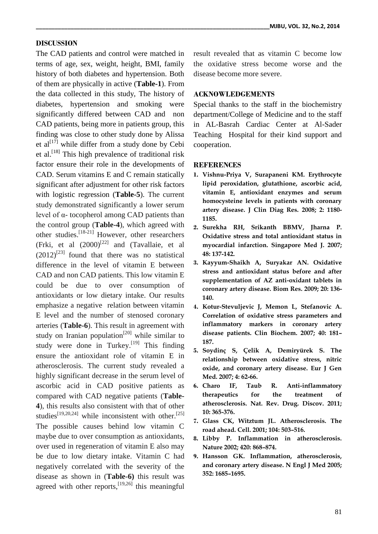# **DISCUSSION**

The CAD patients and control were matched in terms of age, sex, weight, height, BMI, family history of both diabetes and hypertension. Both of them are physically in active (**Table-1**). From the data collected in this study, The history of diabetes, hypertension and smoking were significantly differed between CAD and non CAD patients, being more in patients group, this finding was close to other study done by Alissa et al $[17]$  while differ from a study done by Cebi et al.<sup>[18]</sup> This high prevalence of traditional risk factor ensure their role in the developments of CAD. Serum vitamins E and C remain statically significant after adjustment for other risk factors with logistic regression (**Table-5**). The current study demonstrated significantly a lower serum level of α- tocopherol among CAD patients than the control group (**Table-4**), which agreed with other studies.<sup>[18-21]</sup> However, other researchers (Frki, et al  $(2000)^{[22]}$  and (Tavallaie, et al  $(2012)^{[23]}$  found that there was no statistical difference in the level of vitamin E between CAD and non CAD patients. This low vitamin E could be due to over consumption of antioxidants or low dietary intake. Our results emphasize a negative relation between vitamin E level and the number of stenosed coronary arteries (**Table-6**). This result in agreement with study on Iranian population<sup>[20]</sup> while similar to study were done in Turkey.<sup>[19]</sup> This finding ensure the antioxidant role of vitamin E in atherosclerosis. The current study revealed a highly significant decrease in the serum level of ascorbic acid in CAD positive patients as compared with CAD negative patients (**Table-4**), this results also consistent with that of other studies<sup>[19,20,24]</sup> while inconsistent with other.<sup>[25]</sup> The possible causes behind low vitamin C maybe due to over consumption as antioxidants, over used in regeneration of vitamin E also may be due to low dietary intake. Vitamin C had negatively correlated with the severity of the disease as shown in (**Table-6)** this result was agreed with other reports,  $[19,26]$  this meaningful result revealed that as vitamin C become low the oxidative stress become worse and the disease become more severe.

# **ACKNOWLEDGEMENTS**

Special thanks to the staff in the biochemistry department/College of Medicine and to the staff in AL-Basrah Cardiac Center at Al-Sader Teaching Hospital for their kind support and cooperation.

#### **REFERENCES**

- **1. Vishnu-Priya V, Surapaneni KM. Erythrocyte lipid peroxidation, glutathione, ascorbic acid, vitamin E, antioxidant enzymes and serum homocysteine levels in patients with coronary artery disease. J Clin Diag Res. 2008; 2: 1180- 1185.**
- **2. Surekha RH, Srikanth BBMV, Jharna P. Oxidative stress and total antioxidant status in myocardial infarction. Singapore Med J. 2007; 48: 137-142.**
- **3. Kayyum-Shaikh A, Suryakar AN. Oxidative stress and antioxidant status before and after supplementation of AZ anti-oxidant tablets in coronary artery disease. Biom Res. 2009; 20: 136- 140.**
- **4. Kotur-Stevuljevic J, Memon L, Stefanovic A. Correlation of oxidative stress parameters and inflammatory markers in coronary artery disease patients. Clin Biochem. 2007; 40: 181– 187.**
- **5. Soydinç S, Çelik A, Demiryürek S. The relationship between oxidative stress, nitric oxide, and coronary artery disease. Eur J Gen Med. 2007; 4: 62-66.**
- **6. Charo IF, Taub R. Anti-inflammatory therapeutics for the treatment of atherosclerosis. Nat. Rev. Drug. Discov. 2011; 10: 365-376.**
- **7. Glass CK, Witztum JL. Atherosclerosis. The road ahead. Cell. 2001; 104: 503–516.**
- **8. Libby P. Inflammation in atherosclerosis. Nature 2002; 420: 868–874.**
- **9. Hansson GK. Inflammation, atherosclerosis, and coronary artery disease. N Engl J Med 2005; 352: 1685–1695.**